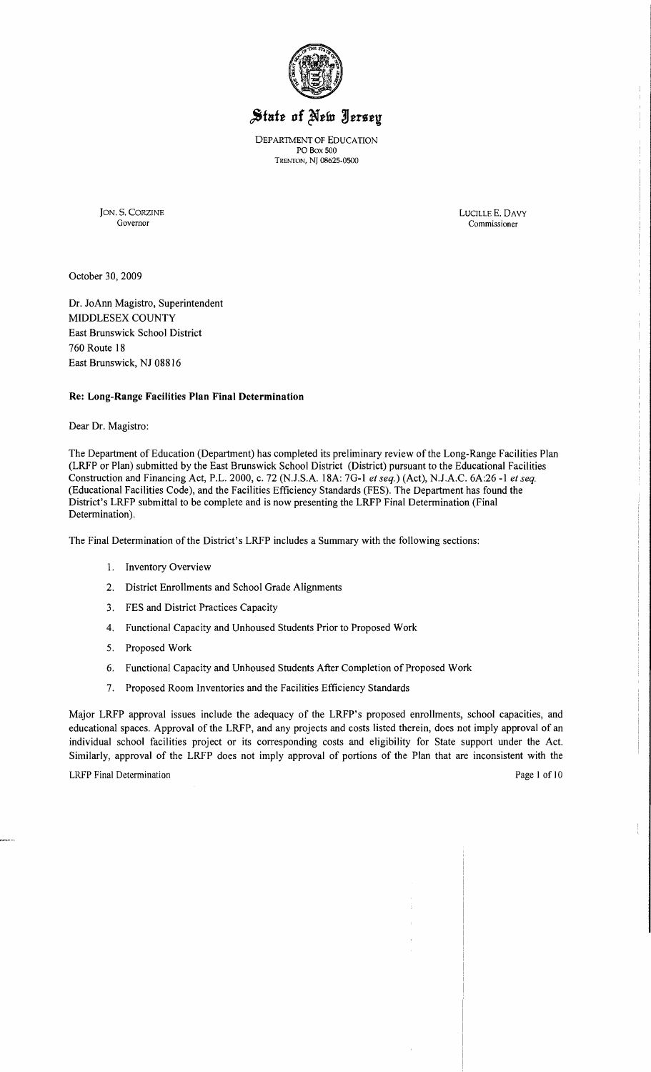

# State of New Jersey

DEPARTMENT OF EDUCATION PO Box 500 TRENTON, NJ 08625-0500

JON. S. CORZINE LUCILLE E. DAVY

Commissioner

October 30, 2009

Dr. JoAnn Magistro, Superintendent MIDDLESEX COUNTY East Brunswick School District 760 Route 18 East Brunswick, NJ 08816

## **Re: Long-Range** Facilities Plan **Final Determination**

Dear Dr. Magistro:

The Department of Education (Department) has completed its preliminary review of the Long-Range Facilities Plan (LRFP or Plan) submitted by the East Brunswick School District (District) pursuant to the Educational Facilities Construction and Financing Act, P.L. 2000, c. 72 (NJ.S.A. 18A: 7G-l *et seq.)* (Act), NJ.A.C. 6A:26 -1 *et seq.*  (Educational Facilities Code), and the Facilities Efficiency Standards (FES). The Department has found the District's LRFP submittal to be complete and is now presenting the LRFP Final Determination (Final Determination).

The Final Determination of the District's LRFP includes a Summary with the following sections:

- 1. Inventory Overview
- 2. District Enrollments and School Grade Alignments
- 3. FES and District Practices Capacity
- 4. Functional Capacity and Unhoused Students Prior to Proposed Work
- 5. Proposed Work
- 6. Functional Capacity and Unhoused Students After Completion of Proposed Work
- 7. Proposed Room Inventories and the Facilities Efficiency Standards

Major LRFP approval issues include the adequacy of the LRFP's proposed enrollments, school capacities, and educational spaces. Approval of the LRFP, and any projects and costs listed therein, does not imply approval of an individual school facilities project or its corresponding costs and eligibility for State support under the Act. Similarly, approval of the LRFP does not imply approval of portions of the Plan that are inconsistent with the

LRFP Final Determination **Page 1 of 10**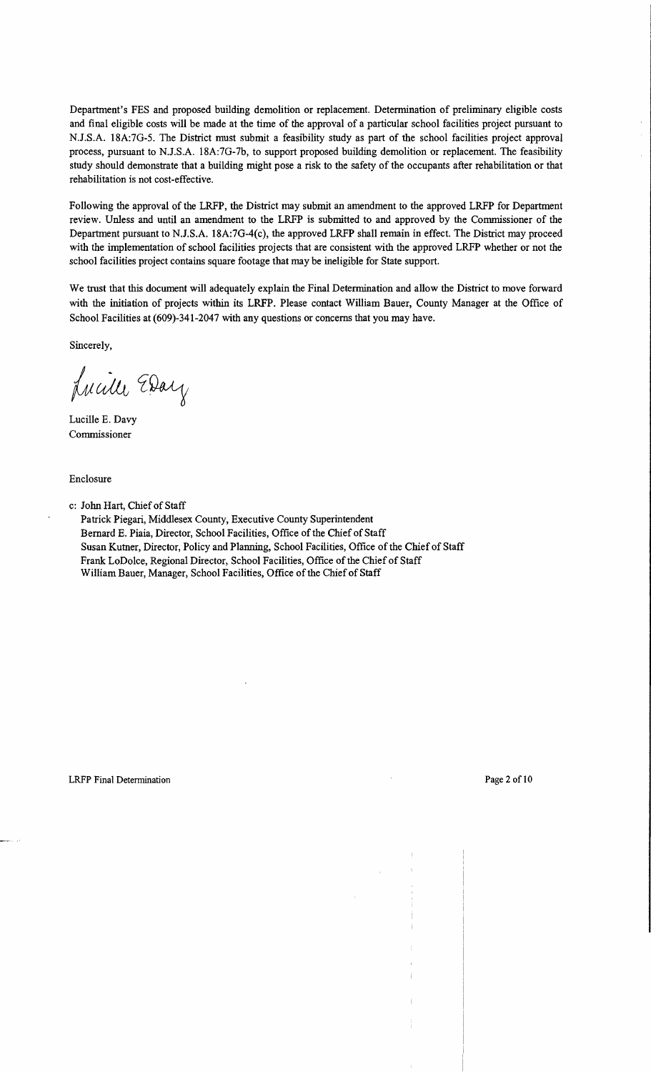Department's FES and proposed building demolition or replacement. Determination of preliminary eligible costs and final eligible costs will be made at the time of the approval of a particular school facilities project pursuant to N.J.S.A. 18A:7G-5. The District must submit a feasibility study as part of the school facilities project approval process, pursuant to N.J.S.A. 18A:7G-7b, to support proposed building demolition or replacement. The feasibility study should demonstrate that a building might pose a risk to the safety of the occupants after rehabilitation or that rehabilitation is not cost-effective.

Following the approval of the LRFP, the District may submit an amendment to the approved LRFP for Department review. Unless and until an amendment to the LRFP is submitted to and approved by the Commissioner of the Department pursuant to N.J.S.A. 18A:7G-4(c), the approved LRFP shall remain in effect. The District may proceed with the implementation of school facilities projects that are consistent with the approved LRFP whether or not the school facilities project contains square footage that may be ineligible for State support.

We trust that this document will adequately explain the Final Determination and allow the District to move forward with the initiation of projects within its LRFP. Please contact William Bauer, County Manager at the Office of School Facilities at (609)-341-2047 with any questions or concerns that you may have.

Sincerely,

Lucille Eday

Lucille E. Davy Commissioner

Enclosure

c: Jolm Hart, Chief of Staff

Patrick Piegari, Middlesex County, Executive County Superintendent Bernard E. Piaia, Director, School Facilities, Office of the Chief of Staff Susan Kutner, Director, Policy and Planning, School Facilities, Office of the Chief of Staff Frank LoDolce, Regional Director, School Facilities, Office of the Chief of Staff William Bauer, Manager, School Facilities, Office of the Chief of Staff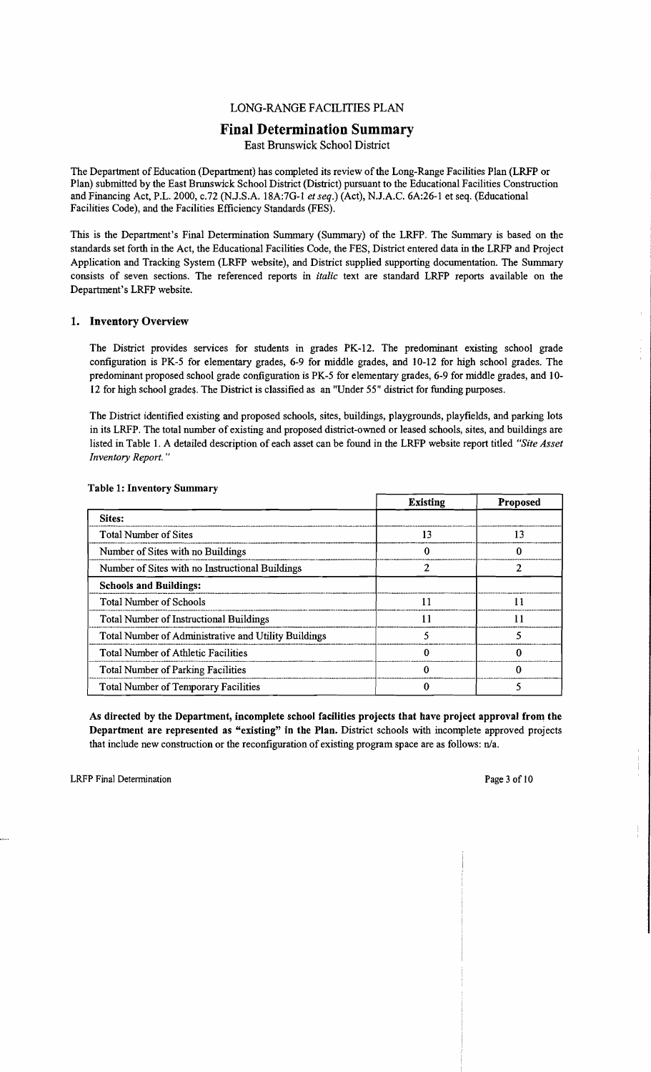## LONG-RANGE FACILITIES PLAN

## **Final Determination Summary**

East Brunswick School District

The Department of Education (Department) has completed its review of the Long-Range Facilities Plan (LRFP or Plan) submitted by the East Brunswick School District (District) pursuant to the Educational Facilities Construction and Financing Act, P.L. 2000, c.72 (NJ.S.A. 18A:7G-l *et seq.)* (Act), N.J.A.C. 6A:26-1 et seq. (Educational Facilities Code), and the Facilities Efficiency Standards (FES).

This is the Department's Final Determination Summary (Summary) of the LRFP. The Summary is based on the standards set forth in the Act, the Educational Facilities Code, the FES; District entered data in the LRFP and Project Application and Tracking System (LRFP website), and District supplied supporting documentation. The Summary consists of seven sections. The referenced reports in *italic* text are standard LRFP reports available on the Department's LRFP website.

## 1. Inventory Overview

The District provides services for students in grades PK-12. The predominant existing school grade configuration is PK-5 for elementary grades, 6-9 for middle grades, and 10-12 for high school grades. The predominant proposed school grade configuration is PK-5 for elementary grades, 6-9 for middle grades, and 10 12 for high school grades. The District is classified as an "Under 55" district for funding purposes.

The District identified existing and proposed schools, sites, buildings, playgrounds, playfields, and parking lots in its LRFP. The total number of existing and proposed district-owned or leased schools, sites, and buildings are listed in Table 1. A detailed description of each asset can be found in the LRFP website report titled *"Site Asset Inventory Report. "* 

|                                                      | <b>Existing</b> | <b>Proposed</b> |
|------------------------------------------------------|-----------------|-----------------|
| Sites:                                               |                 |                 |
| <b>Total Number of Sites</b>                         | 13              | 13              |
| Number of Sites with no Buildings                    |                 | o               |
| Number of Sites with no Instructional Buildings      |                 |                 |
| <b>Schools and Buildings:</b>                        |                 |                 |
| <b>Total Number of Schools</b>                       |                 |                 |
| <b>Total Number of Instructional Buildings</b>       |                 | 11              |
| Total Number of Administrative and Utility Buildings |                 | 5               |
| <b>Total Number of Athletic Facilities</b>           |                 |                 |
| Total Number of Parking Facilities                   |                 |                 |
| <b>Total Number of Temporary Facilities</b>          |                 |                 |

## Table 1: Inventory Summary

As directed by the Department, incomplete school facilities projects that have project approval from the Department are represented as "existing" in the Plan. District schools with incomplete approved projects that include new construction or the reconfiguration of existing program space are as follows:  $n/a$ .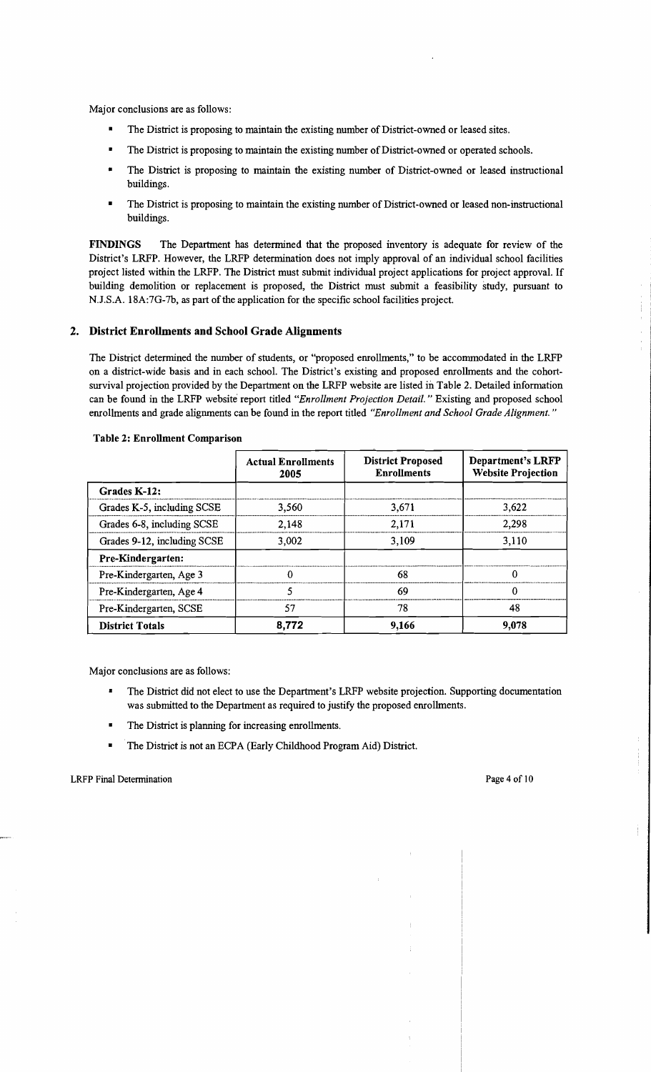Major conclusions are as follows:

- The District is proposing to maintain the existing number of District-owned or leased sites.
- The District is proposing to maintain the existing number of District-owned or operated schools.
- The District is proposing to maintain the existing number of District-owned or leased instructional buildings.
- The District is proposing to maintain the existing number of District-owned or leased non-instructional buildings.

FINDINGS The Department has determined that the proposed inventory is adequate for review of the District's LRFP. However, the LRFP detennination does not imply approval of an individual school facilities project listed within the LRFP. The District must submit individual project applications for project approval. If building demolition or replacement is proposed, the District must submit a feasibility study, pursuant to N.J.S.A. 18A:7G-7b, as part of the application for the specific school facilities project.

## 2. District Enrollments and School Grade Alignments

The District detennined the number of students, or "proposed enrollments," to be accommodated in the LRFP on a district-wide basis and in each school. The District's existing and proposed enrollments and the cohortsurvival projection provided by the Department on the LRFP website are listed in Table 2. Detailed information can be found in the LRFP website report titled *"Enrollment Projection Detail.* " Existing and proposed school enrollments and grade alignments can be found in the report titled *"Enrollment and School Grade Alignment. "* 

|                             | <b>Actual Enrollments</b><br>2005 | <b>District Proposed</b><br><b>Enrollments</b> | Department's LRFP<br><b>Website Projection</b> |
|-----------------------------|-----------------------------------|------------------------------------------------|------------------------------------------------|
| Grades K-12:                |                                   |                                                |                                                |
| Grades K-5, including SCSE  | 3.560                             | 3,671                                          | 3,622                                          |
| Grades 6-8, including SCSE  | 2,148                             | 2.171                                          | 2,298                                          |
| Grades 9-12, including SCSE | 3.002                             | 3,109                                          | 3,110                                          |
| Pre-Kindergarten:           |                                   |                                                |                                                |
| Pre-Kindergarten, Age 3     |                                   | 68                                             | $\Omega$                                       |
| Pre-Kindergarten, Age 4     |                                   | 69                                             | $\Omega$                                       |
| Pre-Kindergarten, SCSE      | 57                                | 78                                             | 48                                             |
| <b>District Totals</b>      | 8,772                             | 9.166                                          | 9.078                                          |

#### Table 2: Enrollment Comparison

Major conclusions are as follows:

- The District did not elect to use the Department's LRFP website projection. Supporting documentation was submitted to the Department as required to justify the proposed enrollments.
- The District is planning for increasing enrollments.
- The District is not an ECPA (Early Childhood Program Aid) District.

 $\frac{1}{2}$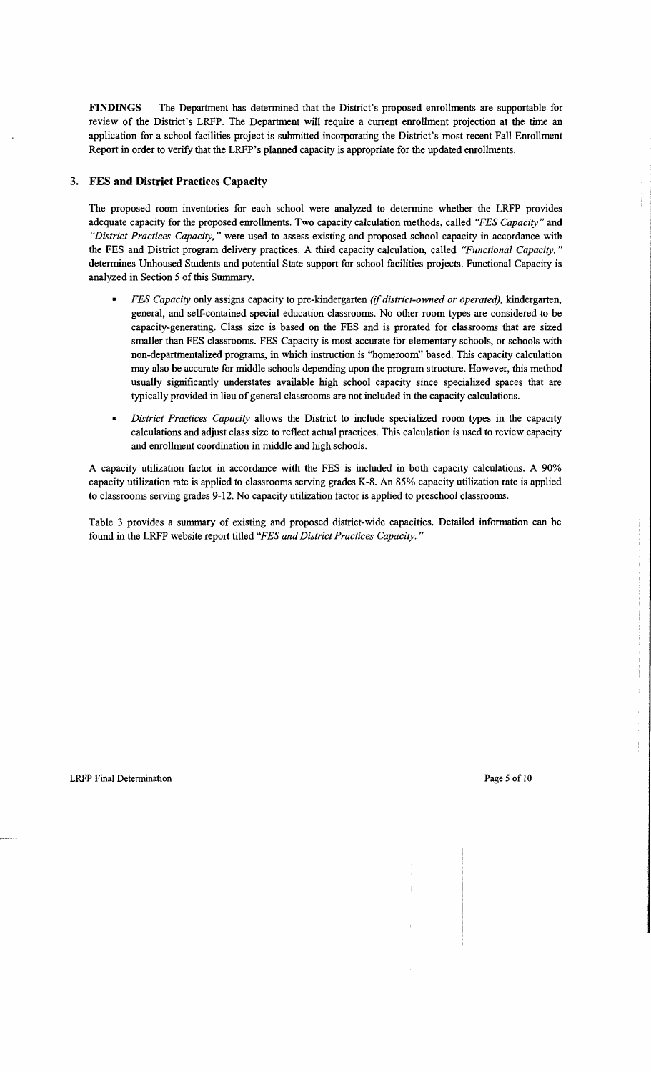FINDINGS The Department has determined that the District's proposed enrollments are supportable for review of the District's LRFP. The Department will require a current enrollment projection at the time an application for a school facilities project is submitted incorporating the District's most recent Fall Enrollment Report in order to verify that the LRFP's planned capacity is appropriate for the updated enrollments.

## 3. FES **and** District Practices Capacity

The proposed room inventories for each school were analyzed to determine whether the LRFP provides adequate capacity for the proposed enrollments. Two capacity calculation methods, called *"FES Capacity"* and *"District Practices Capacity,* " were used to assess existing and proposed school capacity in accordance with the FES and District program delivery practices. A third capacity calculation, called *"Functional Capacity, "*  determines Unhoused Students and potential State support for school facilities projects. Functional Capacity is analyzed in Section 5 of this Summary.

- *• FES Capacity* only assigns capacity to pre-kindergarten *(if district-owned or operated),* kindergarten, general, and self-contained special education classrooms. No other room types are considered to be capacity-generating. Class size is based on the FES and is prorated for classrooms that are sized smaller than FES classrooms. FES Capacity is most accurate for elementary schools, or schools with non-departmentalized programs, in which instruction is "homeroom" based. This capacity calculation may also be accurate for middle schools depending upon the program structure. However, this method usually significantly understates available high school capacity since specialized spaces that are typically provided in lieu of general classrooms are not included in the capacity calculations.
- *District Practices Capacity* allows the District to include specialized room types in the capacity calculations and adjust class size to reflect actual practices. This calculation is used to review capacity and enrollment coordination in middle and high schools.

A capacity utilization factor in accordance with the FES is included in both capacity calculations. A 90% capacity utilization rate is applied to classrooms serving grades K-8. An 85% capacity utilization rate is applied to classrooms serving grades 9-12. No capacity utilization factor is applied to preschool classrooms.

Table 3 provides a summary of existing and proposed district-wide capacities. Detailed information can be found in the LRFP website report titled *"FES and District Practices Capacity. "*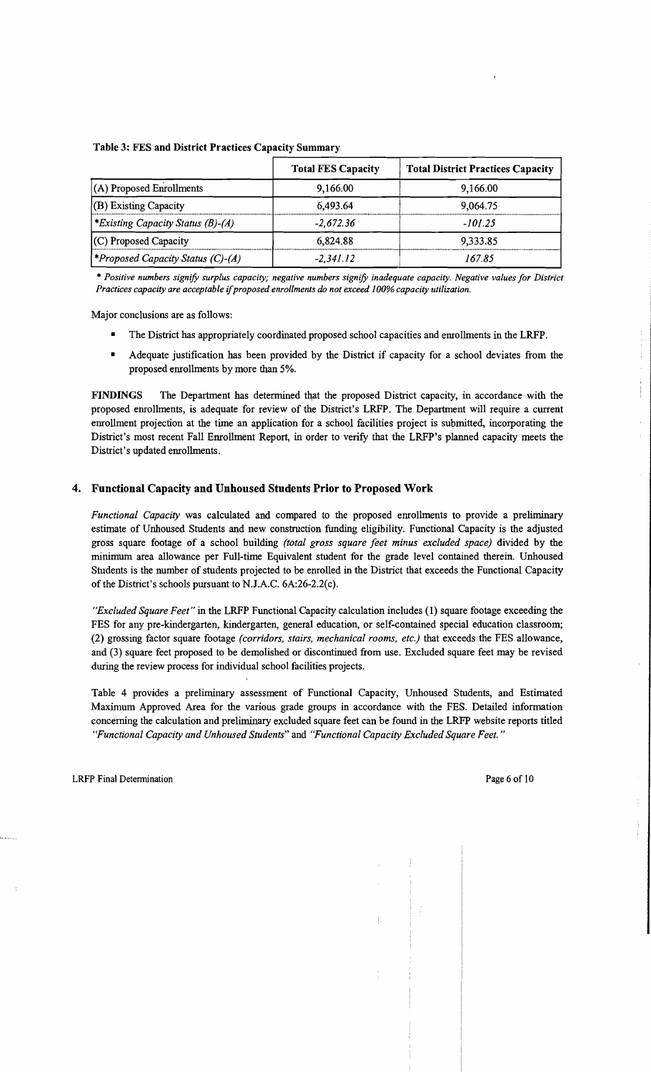|                                                 | <b>Total FES Capacity</b> | <b>Total District Practices Capacity</b> |
|-------------------------------------------------|---------------------------|------------------------------------------|
| (A) Proposed Enrollments                        | 9,166.00                  | 9,166.00                                 |
| $  (B)$ Existing Capacity                       | 6.493.64                  | 9,064.75                                 |
| *Existing Capacity Status $(B)$ - $(A)$         | $-2.672.36$               | -101.25                                  |
| $(C)$ Proposed Capacity                         | 6,824.88                  | 9,333.85                                 |
| <i><b>*Proposed Capacity Status (C)-(A)</b></i> | $-2.341.12$               | 167.85                                   |

#### Table 3: FES and District Practices Capacity Summary

'" *Positive numbers signify surplus capacity; negative numbers signify inadequate capacity. Negative values for District Practices capacity are acceptable* if*proposed enrollments do not exceed* 1*00% capacity utilization.* 

Major conclusions are as follows:

- The District has appropriately coordinated proposed school capacities and emollments in the LRFP.
- Adequate justification has been provided by the District if capacity for a school deviates from the proposed emollments by more than 5%.

FINDINGS The Department has determined that the proposed District capacity, in accordance with the proposed emollments, is adequate for review of the District's LRFP. The Department will require a current emollment projection at the time an application for a school facilities project is submitted, incorporating the District's most recent Fall Emollment Report, in order to verify that the LRFP's planned capacity meets the District's updated emollments.

## 4. Functional Capacity and Unhoused Students Prior to Proposed Work

*Functional Capacity* was calculated and compared to the proposed emollments to provide a preliminary estimate of Unhoused Students and new construction funding eligibility. Functional Capacity is the adjusted gross square footage of a school building *(total gross square feet minus excluded space)* divided by the minimum area allowance per Full-time Equivalent student for the grade level contained therein. Unhoused Students is the number of students projected to be emolled in the District that exceeds the Functional Capacity of the District's schools pursuant to N.J.A.C.  $6A:26-2.2(c)$ .

*"Excluded Square Feet"* in the LRFP Functional Capacity calculation includes (1) square footage exceeding the FES for any pre-kindergarten, kindergarten, general education, or self-contained special education classroom; (2) grossing factor square footage *(corridors, stairs, mechanical rooms, etc.)* that exceeds the FES allowance, and (3) square feet proposed to be demolished or discontinued from use. Excluded square feet may be revised during the review process for individual school facilities projects.

Table 4 provides a preliminary assessment of Functional Capacity, Unhoused Students, and Estimated Maximum Approved Area for the various grade groups in accordance with the FES. Detailed information concerning the calculation and preliminary excluded square feet can be found in the LRFP website reports titled *"Functional Capacity and Unhoused Students"* and *"Functional Capacity Excluded Square Feet. "* 

 $\frac{1}{4}$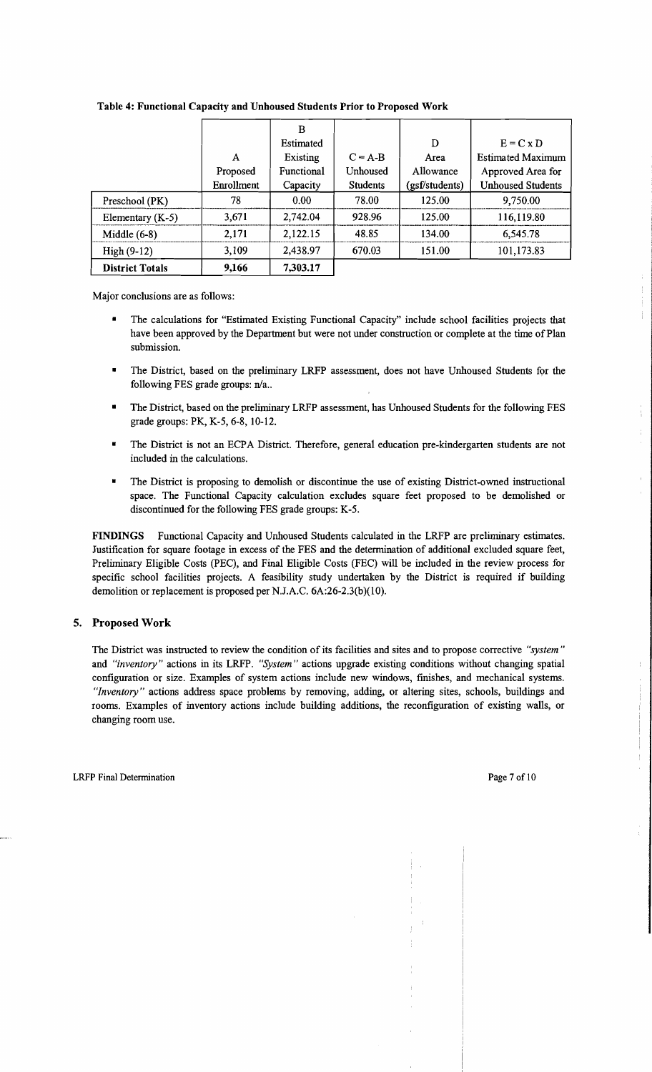|                        |            | в          |                 |                |                          |
|------------------------|------------|------------|-----------------|----------------|--------------------------|
|                        |            | Estimated  |                 | D              | $E = C \times D$         |
|                        | A          | Existing   | $C = A-B$       | Area           | <b>Estimated Maximum</b> |
|                        | Proposed   | Functional | Unhoused        | Allowance      | Approved Area for        |
|                        | Enrollment | Capacity   | <b>Students</b> | (gsf/students) | <b>Unhoused Students</b> |
| Preschool (PK)         | 78         | 0.00       | 78.00           | 125.00         | 9,750.00                 |
| Elementary $(K-5)$     | 3.671      | 2,742.04   | 928.96          | 125.00         | 116,119.80               |
| Middle $(6-8)$         | 2,171      | 2,122.15   | 48.85           | 134.00         | 6,545.78                 |
| $High(9-12)$           | 3,109      | 2,438.97   | 670.03          | 151.00         | 101,173.83               |
| <b>District Totals</b> | 9,166      | 7,303.17   |                 |                |                          |

#### **Table 4: Functional Capacity and Unhoused Students Prior to Proposed Work**

Major conclusions are as follows:

- The calculations for "Estimated Existing Functional Capacity" include school facilities projects that have been approved by the Department but were not under construction or complete at the time of Plan submission.
- The District, based on the preliminary LRFP assessment, does not have Unhoused Students for the following FES grade groups: n/a..
- The District, based on the preliminary LRFP assessment, has Unhoused Students for the following FES grade groups: PK, K-5, 6-8, 10-12.
- The District is not an ECPA District. Therefore, general education pre-kindergarten students are not included in the calculations.
- The District is proposing to demolish or discontinue the use of existing District-owned instructional space. The Functional Capacity calculation excludes square feet proposed to be demolished or discontinued for the following FES grade groups: K-5.

**FINDINGS** Functional Capacity and Unhoused Students calculated in the LRFP are preliminary estimates. Justification for square footage in excess of the FES and the determination of additional excluded square feet, Preliminary Eligible Costs (PEC), and Final Eligible Costs (FEC) will be included in the review process for specific school facilities projects. A feasibility study undertaken by the District is required if building demolition or replacement is proposed per N.J.A.C. 6A:26-2.3(b)(10).

#### **5. Proposed Work**

The District was instructed to review the condition of its facilities and sites and to propose corrective *"system"*  and *"inventory"* actions in its LRFP. *"System"* actions upgrade existing conditions without changing spatial configuration or size. Examples of system actions include new windows, finishes, and mechanical systems. *"Inventory"* actions address space problems by removing, adding, or altering sites, schools, buildings and rooms. Examples of inventory actions include building additions, the reconfiguration of existing walls, or changing room use.

 $\mathbb{L}$ 

 $\frac{1}{2}$  $\frac{1}{4}$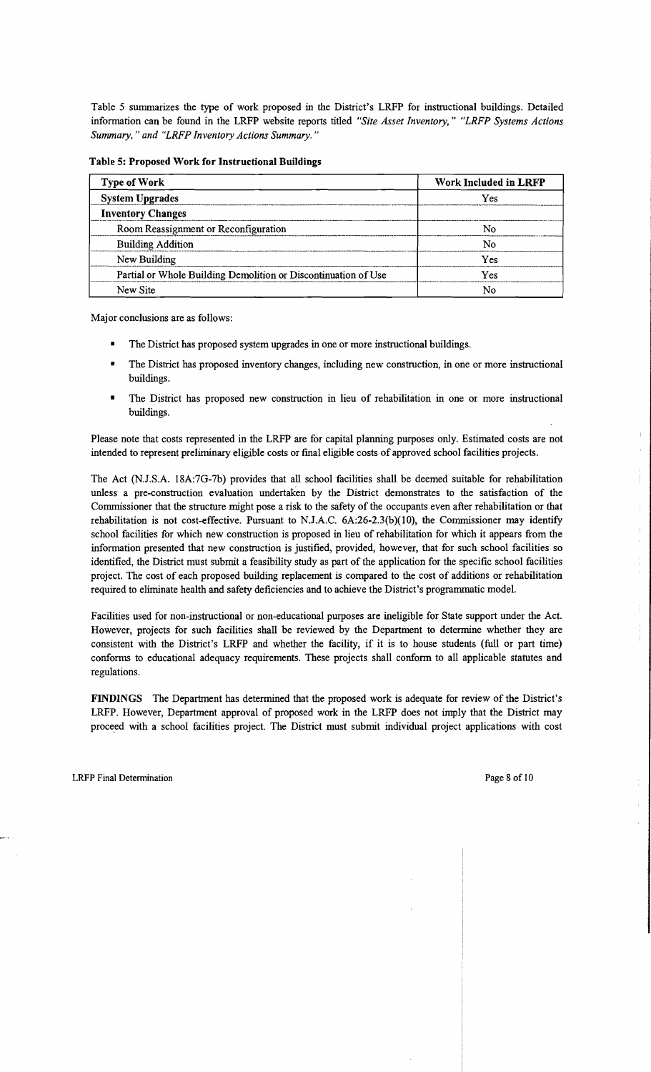Table 5 summarizes the type of work proposed in the District's LRFP for instructional buildings. Detailed information can be found in the LRFP website reports titled *"Site Asset Inventory," "LRFP Systems Actions Summary,* " *and "LRFP Inventory Actions Summary. "* 

| <b>Type of Work</b>                                            | Work Included in LRFP |  |
|----------------------------------------------------------------|-----------------------|--|
| <b>System Upgrades</b>                                         | Yes                   |  |
| <b>Inventory Changes</b>                                       |                       |  |
| Room Reassignment or Reconfiguration                           | N٥                    |  |
| <b>Building Addition</b>                                       | N٥                    |  |
| New Building                                                   | Yes                   |  |
| Partial or Whole Building Demolition or Discontinuation of Use | Yes                   |  |
| New Site                                                       |                       |  |

Table 5: Proposed Work for Instructional Buildings

Major conclusions are as follows:

- The District has proposed system upgrades in one or more instructional buildings.
- The District has proposed inventory changes, including new construction, in one or more instructional buildings.
- The District has proposed new construction in lieu of rehabilitation in one or more instructional buildings.

Please note that costs represented in the LRFP are for capital planning purposes only. Estimated costs are not intended to represent preliminary eligible costs or final eligible costs of approved school facilities projects.

The Act (NJ.S.A. 18A:7G-7b) provides that all school facilities shall be deemed suitable for rehabilitation unless a pre-construction evaluation undertaken by the District demonstrates to the satisfaction of the Commissioner that the structure might pose a risk to the safety of the occupants even after rehabilitation or that rehabilitation is not cost-effective. Pursuant to NJ.A.C. 6A:26-2.3(b)(1O), the Commissioner may identify school facilities for which new construction is proposed in lieu of rehabilitation for which it appears from the information presented that new construction is justified, provided, however, that for such school facilities so identified, the District must submit a feasibility study as part of the application for the specific school facilities project. The cost of each proposed building replacement is compared to the cost of additions or rehabilitation required to eliminate health and safety deficiencies and to achieve the District's programmatic model.

Facilities used for non-instructional or non-educational purposes are ineligible for State support under the Act. However, projects for such facilities shall be reviewed by the Department to determine whether they are consistent with the District's LRFP and whether the facility, if it is to house students (full or part time) conforms to educational adequacy requirements. These projects shall conform to all applicable statutes and regulations.

FINDINGS The Department has determined that the proposed work is adequate for review of the District's LRFP. However, Department approval of proposed work in the LRFP does not imply that the District may proceed with a school facilities project. The District must submit individual project applications with cost ÷

÷  $\bar{1}$ 

 $\frac{1}{2}$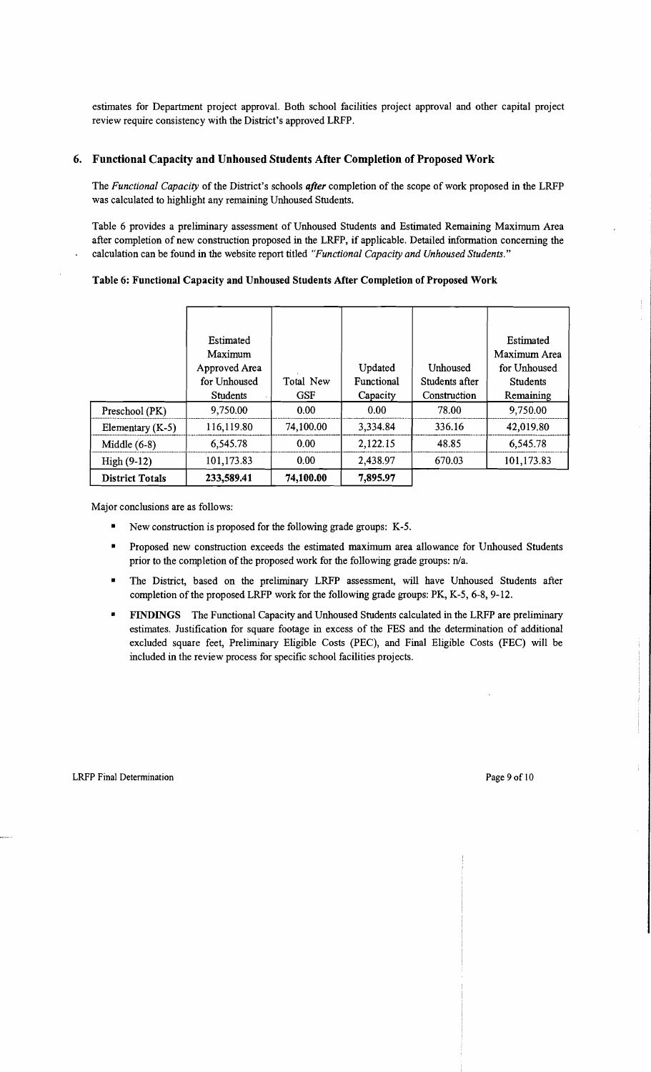estimates for Department project approval. Both school facilities project approval and other capital project review require consistency with the District's approved LRFP.

#### 6. Functional Capacity and Unhoused Students After Completion of Proposed Work

The *Functional Capacity* of the District's schools *after* completion of the scope of work proposed in the LRFP was calculated to highlight any remaining Unhoused Students.

Table 6 provides a preliminary assessment of Unhoused Students and Estimated Remaining Maximum Area after completion of new construction proposed in the LRFP, if applicable. Detailed information concerning the calculation can be found in the website report titled *"Functional Capacity and Unhoused Students."* 

#### Table 6: Functional Capacity and Unhoused Students After Completion of Proposed Work

|                        | <b>Estimated</b><br>Maximum<br>Approved Area |            | Updated    | Unhoused       | Estimated<br>Maximum Area<br>for Unhoused |
|------------------------|----------------------------------------------|------------|------------|----------------|-------------------------------------------|
|                        | for Unhoused                                 | Total New  | Functional | Students after | <b>Students</b>                           |
|                        | <b>Students</b>                              | <b>GSF</b> | Capacity   | Construction   | Remaining                                 |
| Preschool (PK)         | 9,750.00                                     | 0.00       | 0.00       | 78.00          | 9,750.00                                  |
| Elementary $(K-5)$     | 116,119.80                                   | 74,100.00  | 3,334.84   | 336.16         | 42,019.80                                 |
| Middle $(6-8)$         | 6,545.78                                     | 0.00       | 2,122.15   | 48.85          | 6,545.78                                  |
| $High (9-12)$          | 101,173.83                                   | 0.00       | 2,438.97   | 670.03         | 101,173.83                                |
| <b>District Totals</b> | 233,589.41                                   | 74,100.00  | 7,895.97   |                |                                           |

Major conclusions are as follows:

- New construction is proposed for the following grade groups: K-5.
- Proposed new construction exceeds the estimated maximum area allowance for Unhoused Students prior to the completion of the proposed work for the following grade groups: n/a.
- • The District, based on the preliminary LRFP assessment, will have Unhoused Students after completion of the proposed LRFP work for the following grade groups: PK, K-5, 6-8, 9-12.
- • FINDINGS The Functional Capacity and Unhoused Students calculated in the LRFP are preliminary estimates. Justification for square footage in excess of the FES and the determination of additional excluded square feet, Preliminary Eligible Costs (PEC), and Final Eligible Costs (FEC) will be included in the review process for specific school facilities projects.